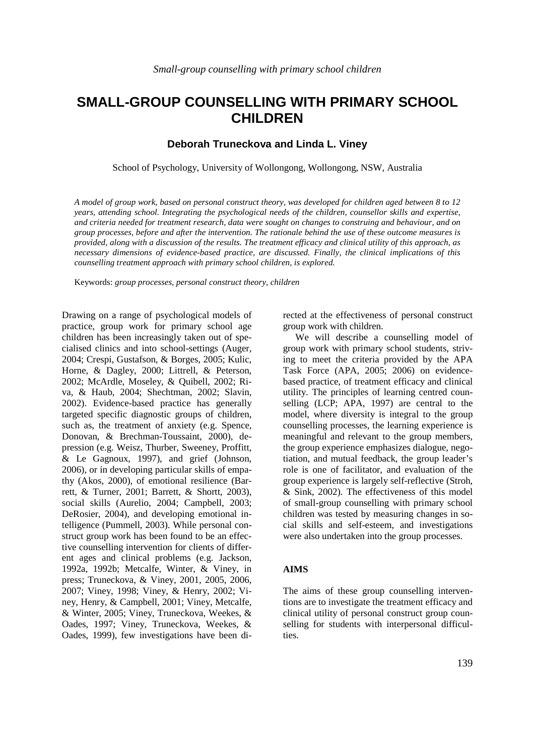# **SMALL-GROUP COUNSELLING WITH PRIMARY SCHOOL CHILDREN**

# **Deborah Truneckova and Linda L. Viney**

School of Psychology, University of Wollongong, Wollongong, NSW, Australia

*A model of group work, based on personal construct theory, was developed for children aged between 8 to 12 years, attending school. Integrating the psychological needs of the children, counsellor skills and expertise, and criteria needed for treatment research, data were sought on changes to construing and behaviour, and on group processes, before and after the intervention. The rationale behind the use of these outcome measures is provided, along with a discussion of the results. The treatment efficacy and clinical utility of this approach, as necessary dimensions of evidence-based practice, are discussed. Finally, the clinical implications of this counselling treatment approach with primary school children, is explored.* 

Keywords: *group processes, personal construct theory, children* 

Drawing on a range of psychological models of practice, group work for primary school age children has been increasingly taken out of specialised clinics and into school-settings (Auger, 2004; Crespi, Gustafson, & Borges, 2005; Kulic, Horne, & Dagley, 2000; Littrell, & Peterson, 2002; McArdle, Moseley, & Quibell, 2002; Riva, & Haub, 2004; Shechtman, 2002; Slavin, 2002). Evidence-based practice has generally targeted specific diagnostic groups of children, such as, the treatment of anxiety (e.g. Spence, Donovan, & Brechman-Toussaint, 2000), depression (e.g. Weisz, Thurber, Sweeney, Proffitt, & Le Gagnoux, 1997), and grief (Johnson, 2006), or in developing particular skills of empathy (Akos, 2000), of emotional resilience (Barrett, & Turner, 2001; Barrett, & Shortt, 2003), social skills (Aurelio, 2004; Campbell, 2003; DeRosier, 2004), and developing emotional intelligence (Pummell, 2003). While personal construct group work has been found to be an effective counselling intervention for clients of different ages and clinical problems (e.g. Jackson, 1992a, 1992b; Metcalfe, Winter, & Viney, in press; Truneckova, & Viney, 2001, 2005, 2006, 2007; Viney, 1998; Viney, & Henry, 2002; Viney, Henry, & Campbell, 2001; Viney, Metcalfe, & Winter, 2005; Viney, Truneckova, Weekes, & Oades, 1997; Viney, Truneckova, Weekes, & Oades, 1999), few investigations have been directed at the effectiveness of personal construct group work with children.

We will describe a counselling model of group work with primary school students, striving to meet the criteria provided by the APA Task Force (APA, 2005; 2006) on evidencebased practice, of treatment efficacy and clinical utility. The principles of learning centred counselling (LCP; APA, 1997) are central to the model, where diversity is integral to the group counselling processes, the learning experience is meaningful and relevant to the group members, the group experience emphasizes dialogue, negotiation, and mutual feedback, the group leader's role is one of facilitator, and evaluation of the group experience is largely self-reflective (Stroh, & Sink, 2002). The effectiveness of this model of small-group counselling with primary school children was tested by measuring changes in social skills and self-esteem, and investigations were also undertaken into the group processes.

#### **AIMS**

The aims of these group counselling interventions are to investigate the treatment efficacy and clinical utility of personal construct group counselling for students with interpersonal difficulties.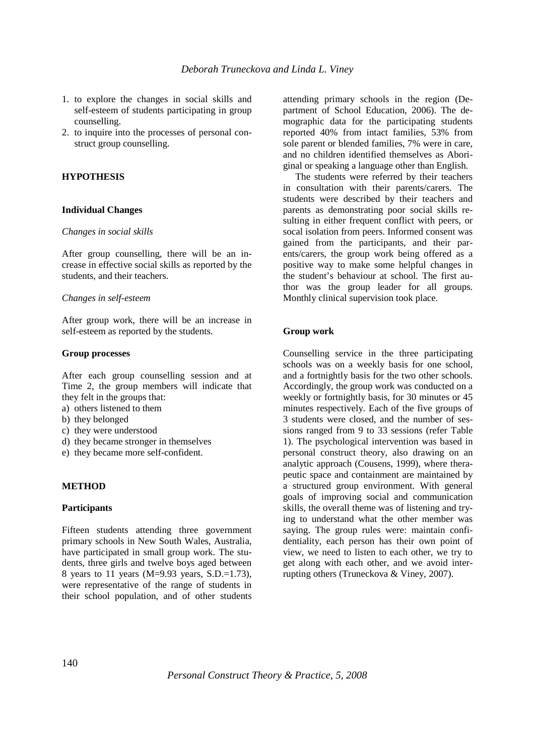- 1. to explore the changes in social skills and self-esteem of students participating in group counselling.
- 2. to inquire into the processes of personal construct group counselling.

# **HYPOTHESIS**

## **Individual Changes**

#### *Changes in social skills*

After group counselling, there will be an increase in effective social skills as reported by the students, and their teachers.

#### *Changes in self-esteem*

After group work, there will be an increase in self-esteem as reported by the students.

#### **Group processes**

After each group counselling session and at Time 2, the group members will indicate that they felt in the groups that:

- a) others listened to them
- b) they belonged
- c) they were understood
- d) they became stronger in themselves
- e) they became more self-confident.

# **METHOD**

#### **Participants**

Fifteen students attending three government primary schools in New South Wales, Australia, have participated in small group work. The students, three girls and twelve boys aged between 8 years to 11 years (M=9.93 years, S.D.=1.73), were representative of the range of students in their school population, and of other students

attending primary schools in the region (Department of School Education, 2006). The demographic data for the participating students reported 40% from intact families, 53% from sole parent or blended families, 7% were in care, and no children identified themselves as Aboriginal or speaking a language other than English.

The students were referred by their teachers in consultation with their parents/carers. The students were described by their teachers and parents as demonstrating poor social skills resulting in either frequent conflict with peers, or socal isolation from peers. Informed consent was gained from the participants, and their parents/carers, the group work being offered as a positive way to make some helpful changes in the student's behaviour at school. The first author was the group leader for all groups. Monthly clinical supervision took place.

## **Group work**

Counselling service in the three participating schools was on a weekly basis for one school, and a fortnightly basis for the two other schools. Accordingly, the group work was conducted on a weekly or fortnightly basis, for 30 minutes or 45 minutes respectively. Each of the five groups of 3 students were closed, and the number of sessions ranged from 9 to 33 sessions (refer Table 1). The psychological intervention was based in personal construct theory, also drawing on an analytic approach (Cousens, 1999), where therapeutic space and containment are maintained by a structured group environment. With general goals of improving social and communication skills, the overall theme was of listening and trying to understand what the other member was saying. The group rules were: maintain confidentiality, each person has their own point of view, we need to listen to each other, we try to get along with each other, and we avoid interrupting others (Truneckova & Viney, 2007).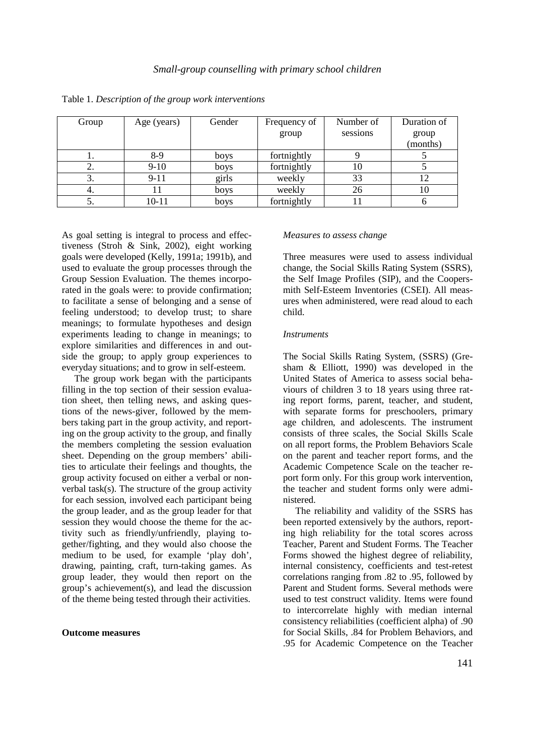| Group | Age (years) | Gender | Frequency of | Number of | Duration of |
|-------|-------------|--------|--------------|-----------|-------------|
|       |             |        | group        | sessions  | group       |
|       |             |        |              |           | (months)    |
|       | $8-9$       | boys   | fortnightly  |           |             |
| 2.    | $9-10$      | boys   | fortnightly  | 10        |             |
| 3.    | $9-11$      | girls  | weekly       | 33        |             |
| 4.    |             | boys   | weekly       | 26        | 10          |
|       | 10-11       | boys   | fortnightly  |           |             |

Table 1. *Description of the group work interventions* 

As goal setting is integral to process and effectiveness (Stroh & Sink, 2002), eight working goals were developed (Kelly, 1991a; 1991b), and used to evaluate the group processes through the Group Session Evaluation. The themes incorporated in the goals were: to provide confirmation; to facilitate a sense of belonging and a sense of feeling understood; to develop trust; to share meanings; to formulate hypotheses and design experiments leading to change in meanings; to explore similarities and differences in and outside the group; to apply group experiences to everyday situations; and to grow in self-esteem.

The group work began with the participants filling in the top section of their session evaluation sheet, then telling news, and asking questions of the news-giver, followed by the members taking part in the group activity, and reporting on the group activity to the group, and finally the members completing the session evaluation sheet. Depending on the group members' abilities to articulate their feelings and thoughts, the group activity focused on either a verbal or nonverbal task(s). The structure of the group activity for each session, involved each participant being the group leader, and as the group leader for that session they would choose the theme for the activity such as friendly/unfriendly, playing together/fighting, and they would also choose the medium to be used, for example 'play doh', drawing, painting, craft, turn-taking games. As group leader, they would then report on the group's achievement(s), and lead the discussion of the theme being tested through their activities.

#### **Outcome measures**

#### *Measures to assess change*

Three measures were used to assess individual change, the Social Skills Rating System (SSRS), the Self Image Profiles (SIP), and the Coopersmith Self-Esteem Inventories (CSEI). All measures when administered, were read aloud to each child.

#### *Instruments*

The Social Skills Rating System, (SSRS) (Gresham & Elliott, 1990) was developed in the United States of America to assess social behaviours of children 3 to 18 years using three rating report forms, parent, teacher, and student, with separate forms for preschoolers, primary age children, and adolescents. The instrument consists of three scales, the Social Skills Scale on all report forms, the Problem Behaviors Scale on the parent and teacher report forms, and the Academic Competence Scale on the teacher report form only. For this group work intervention, the teacher and student forms only were administered.

The reliability and validity of the SSRS has been reported extensively by the authors, reporting high reliability for the total scores across Teacher, Parent and Student Forms. The Teacher Forms showed the highest degree of reliability, internal consistency, coefficients and test-retest correlations ranging from .82 to .95, followed by Parent and Student forms. Several methods were used to test construct validity. Items were found to intercorrelate highly with median internal consistency reliabilities (coefficient alpha) of .90 for Social Skills, .84 for Problem Behaviors, and .95 for Academic Competence on the Teacher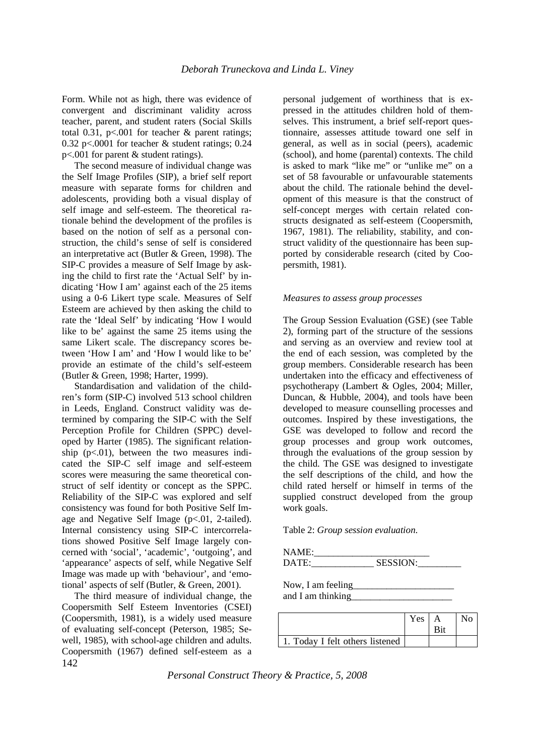Form. While not as high, there was evidence of convergent and discriminant validity across teacher, parent, and student raters (Social Skills total 0.31,  $p<0.001$  for teacher & parent ratings; 0.32 p<.0001 for teacher & student ratings; 0.24 p<.001 for parent & student ratings).

The second measure of individual change was the Self Image Profiles (SIP), a brief self report measure with separate forms for children and adolescents, providing both a visual display of self image and self-esteem. The theoretical rationale behind the development of the profiles is based on the notion of self as a personal construction, the child's sense of self is considered an interpretative act (Butler & Green, 1998). The SIP-C provides a measure of Self Image by asking the child to first rate the 'Actual Self' by indicating 'How I am' against each of the 25 items using a 0-6 Likert type scale. Measures of Self Esteem are achieved by then asking the child to rate the 'Ideal Self' by indicating 'How I would like to be' against the same 25 items using the same Likert scale. The discrepancy scores between 'How I am' and 'How I would like to be' provide an estimate of the child's self-esteem (Butler & Green, 1998; Harter, 1999).

Standardisation and validation of the children's form (SIP-C) involved 513 school children in Leeds, England. Construct validity was determined by comparing the SIP-C with the Self Perception Profile for Children (SPPC) developed by Harter (1985). The significant relationship  $(p<.01)$ , between the two measures indicated the SIP-C self image and self-esteem scores were measuring the same theoretical construct of self identity or concept as the SPPC. Reliability of the SIP-C was explored and self consistency was found for both Positive Self Image and Negative Self Image (p<.01, 2-tailed). Internal consistency using SIP-C intercorrelations showed Positive Self Image largely concerned with 'social', 'academic', 'outgoing', and 'appearance' aspects of self, while Negative Self Image was made up with 'behaviour', and 'emotional' aspects of self (Butler, & Green, 2001).

142 The third measure of individual change, the Coopersmith Self Esteem Inventories (CSEI) (Coopersmith, 1981), is a widely used measure of evaluating self-concept (Peterson, 1985; Sewell, 1985), with school-age children and adults. Coopersmith (1967) defined self-esteem as a

personal judgement of worthiness that is expressed in the attitudes children hold of themselves. This instrument, a brief self-report questionnaire, assesses attitude toward one self in general, as well as in social (peers), academic (school), and home (parental) contexts. The child is asked to mark "like me" or "unlike me" on a set of 58 favourable or unfavourable statements about the child. The rationale behind the development of this measure is that the construct of self-concept merges with certain related constructs designated as self-esteem (Coopersmith, 1967, 1981). The reliability, stability, and construct validity of the questionnaire has been supported by considerable research (cited by Coopersmith, 1981).

## *Measures to assess group processes*

The Group Session Evaluation (GSE) (see Table 2), forming part of the structure of the sessions and serving as an overview and review tool at the end of each session, was completed by the group members. Considerable research has been undertaken into the efficacy and effectiveness of psychotherapy (Lambert & Ogles, 2004; Miller, Duncan, & Hubble, 2004), and tools have been developed to measure counselling processes and outcomes. Inspired by these investigations, the GSE was developed to follow and record the group processes and group work outcomes, through the evaluations of the group session by the child. The GSE was designed to investigate the self descriptions of the child, and how the child rated herself or himself in terms of the supplied construct developed from the group work goals.

Table 2: *Group session evaluation*.

NAME:\_\_\_\_\_\_\_\_\_\_\_\_\_\_\_\_\_\_\_\_\_\_\_\_ DATE:\_\_\_\_\_\_\_\_\_\_\_\_\_ SESSION:\_\_\_\_\_\_\_\_\_

Now, I am feeling

and I am thinking

|                                 | Yes |  |
|---------------------------------|-----|--|
|                                 |     |  |
| 1. Today I felt others listened |     |  |

*Personal Construct Theory & Practice, 5, 2008*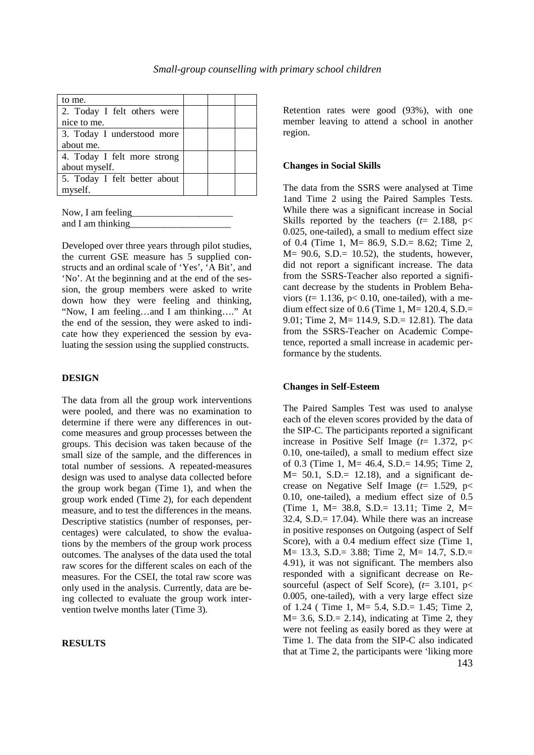| to me.                       |  |  |
|------------------------------|--|--|
| 2. Today I felt others were  |  |  |
| nice to me.                  |  |  |
| 3. Today I understood more   |  |  |
| about me.                    |  |  |
| 4. Today I felt more strong  |  |  |
| about myself.                |  |  |
| 5. Today I felt better about |  |  |
| myself.                      |  |  |

| Now, I am feeling |  |
|-------------------|--|
| and I am thinking |  |

Developed over three years through pilot studies, the current GSE measure has 5 supplied constructs and an ordinal scale of 'Yes', 'A Bit', and 'No'. At the beginning and at the end of the session, the group members were asked to write down how they were feeling and thinking, "Now, I am feeling…and I am thinking…." At the end of the session, they were asked to indicate how they experienced the session by evaluating the session using the supplied constructs.

# **DESIGN**

The data from all the group work interventions were pooled, and there was no examination to determine if there were any differences in outcome measures and group processes between the groups. This decision was taken because of the small size of the sample, and the differences in total number of sessions. A repeated-measures design was used to analyse data collected before the group work began (Time 1), and when the group work ended (Time 2), for each dependent measure, and to test the differences in the means. Descriptive statistics (number of responses, percentages) were calculated, to show the evaluations by the members of the group work process outcomes. The analyses of the data used the total raw scores for the different scales on each of the measures. For the CSEI, the total raw score was only used in the analysis. Currently, data are being collected to evaluate the group work intervention twelve months later (Time 3).

#### **RESULTS**

Retention rates were good (93%), with one member leaving to attend a school in another region.

#### **Changes in Social Skills**

The data from the SSRS were analysed at Time 1and Time 2 using the Paired Samples Tests. While there was a significant increase in Social Skills reported by the teachers  $(t= 2.188, p<$ 0.025, one-tailed), a small to medium effect size of 0.4 (Time 1, M= 86.9, S.D.= 8.62; Time 2,  $M = 90.6$ , S.D. $= 10.52$ ), the students, however, did not report a significant increase. The data from the SSRS-Teacher also reported a significant decrease by the students in Problem Behaviors ( $t=1.136$ ,  $p< 0.10$ , one-tailed), with a medium effect size of 0.6 (Time 1,  $M= 120.4$ , S.D.= 9.01; Time 2, M= 114.9, S.D.= 12.81). The data from the SSRS-Teacher on Academic Competence, reported a small increase in academic performance by the students.

#### **Changes in Self-Esteem**

143 The Paired Samples Test was used to analyse each of the eleven scores provided by the data of the SIP-C. The participants reported a significant increase in Positive Self Image (*t*= 1.372, p< 0.10, one-tailed), a small to medium effect size of 0.3 (Time 1, M= 46.4, S.D.= 14.95; Time 2,  $M = 50.1$ , S.D. $= 12.18$ ), and a significant decrease on Negative Self Image (*t*= 1.529, p< 0.10, one-tailed), a medium effect size of 0.5 (Time 1, M= 38.8, S.D.= 13.11; Time 2, M=  $32.4$ ,  $S.D.= 17.04$ ). While there was an increase in positive responses on Outgoing (aspect of Self Score), with a 0.4 medium effect size (Time 1, M= 13.3, S.D.= 3.88; Time 2, M= 14.7, S.D.= 4.91), it was not significant. The members also responded with a significant decrease on Resourceful (aspect of Self Score), (*t*= 3.101, p< 0.005, one-tailed), with a very large effect size of 1.24 ( Time 1, M= 5.4, S.D.= 1.45; Time 2,  $M = 3.6$ ,  $S.D. = 2.14$ ), indicating at Time 2, they were not feeling as easily bored as they were at Time 1. The data from the SIP-C also indicated that at Time 2, the participants were 'liking more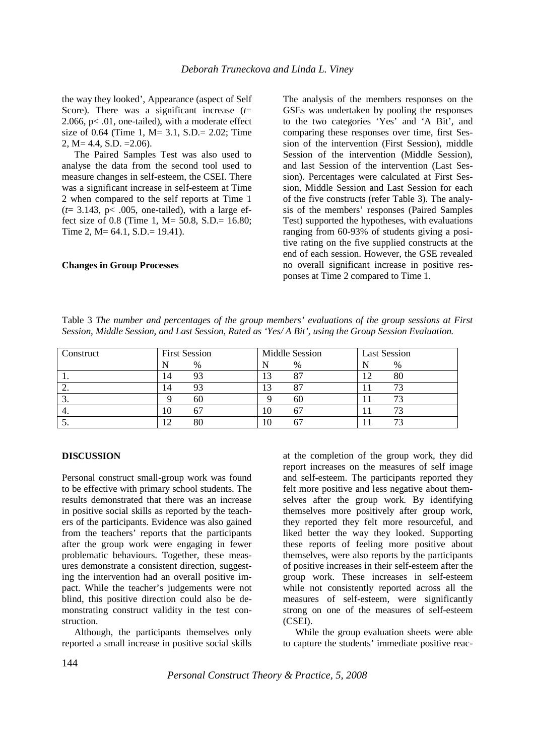the way they looked', Appearance (aspect of Self Score). There was a significant increase (*t*= 2.066,  $p$ < .01, one-tailed), with a moderate effect size of 0.64 (Time 1, M= 3.1, S.D.= 2.02; Time 2, M= 4.4, S.D. =2.06).

The Paired Samples Test was also used to analyse the data from the second tool used to measure changes in self-esteem, the CSEI. There was a significant increase in self-esteem at Time 2 when compared to the self reports at Time 1  $(t= 3.143, p< .005,$  one-tailed), with a large effect size of 0.8 (Time 1, M= 50.8, S.D.=  $16.80$ ; Time 2, M= 64.1, S.D.= 19.41).

# **Changes in Group Processes**

The analysis of the members responses on the GSEs was undertaken by pooling the responses to the two categories 'Yes' and 'A Bit', and comparing these responses over time, first Session of the intervention (First Session), middle Session of the intervention (Middle Session), and last Session of the intervention (Last Session). Percentages were calculated at First Session, Middle Session and Last Session for each of the five constructs (refer Table 3). The analysis of the members' responses (Paired Samples Test) supported the hypotheses, with evaluations ranging from 60-93% of students giving a positive rating on the five supplied constructs at the end of each session. However, the GSE revealed no overall significant increase in positive responses at Time 2 compared to Time 1.

Table 3 *The number and percentages of the group members' evaluations of the group sessions at First Session, Middle Session, and Last Session, Rated as 'Yes/ A Bit', using the Group Session Evaluation.*

| Construct | <b>First Session</b> | Middle Session | <b>Last Session</b> |  |
|-----------|----------------------|----------------|---------------------|--|
|           | %                    | %              | $\%$                |  |
| . .       | 93<br>14             |                | 12                  |  |
| ٠.        | 93<br>14             |                |                     |  |
| . ب       | 60                   | 60             |                     |  |
| 4.        | 10                   | 10             |                     |  |
| ິ.        | $\overline{2}$<br>80 | 10             |                     |  |

# **DISCUSSION**

Personal construct small-group work was found to be effective with primary school students. The results demonstrated that there was an increase in positive social skills as reported by the teachers of the participants. Evidence was also gained from the teachers' reports that the participants after the group work were engaging in fewer problematic behaviours. Together, these measures demonstrate a consistent direction, suggesting the intervention had an overall positive impact. While the teacher's judgements were not blind, this positive direction could also be demonstrating construct validity in the test construction.

Although, the participants themselves only reported a small increase in positive social skills at the completion of the group work, they did report increases on the measures of self image and self-esteem. The participants reported they felt more positive and less negative about themselves after the group work. By identifying themselves more positively after group work, they reported they felt more resourceful, and liked better the way they looked. Supporting these reports of feeling more positive about themselves, were also reports by the participants of positive increases in their self-esteem after the group work. These increases in self-esteem while not consistently reported across all the measures of self-esteem, were significantly strong on one of the measures of self-esteem (CSEI).

While the group evaluation sheets were able to capture the students' immediate positive reac-

*Personal Construct Theory & Practice, 5, 2008*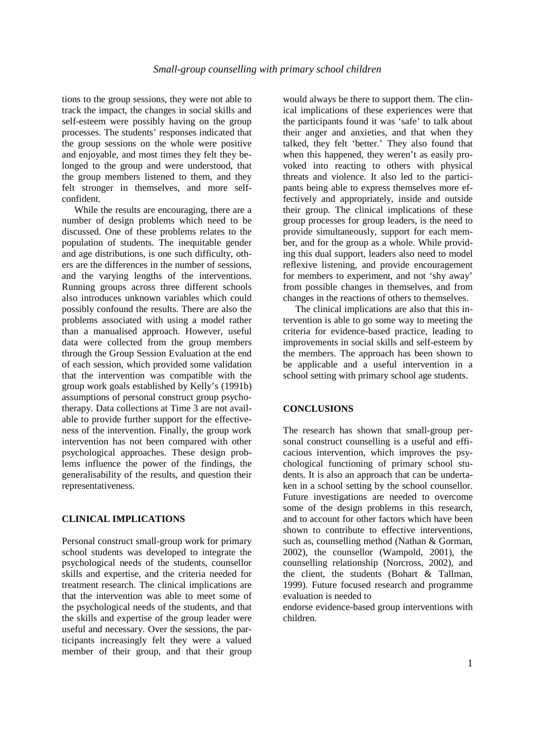tions to the group sessions, they were not able to track the impact, the changes in social skills and self-esteem were possibly having on the group processes. The students' responses indicated that the group sessions on the whole were positive and enjoyable, and most times they felt they belonged to the group and were understood, that the group members listened to them, and they felt stronger in themselves, and more selfconfident.

While the results are encouraging, there are a number of design problems which need to be discussed. One of these problems relates to the population of students. The inequitable gender and age distributions, is one such difficulty, others are the differences in the number of sessions, and the varying lengths of the interventions. Running groups across three different schools also introduces unknown variables which could possibly confound the results. There are also the problems associated with using a model rather than a manualised approach. However, useful data were collected from the group members through the Group Session Evaluation at the end of each session, which provided some validation that the intervention was compatible with the group work goals established by Kelly's (1991b) assumptions of personal construct group psychotherapy. Data collections at Time 3 are not available to provide further support for the effectiveness of the intervention. Finally, the group work intervention has not been compared with other psychological approaches. These design problems influence the power of the findings, the generalisability of the results, and question their representativeness.

# **CLINICAL IMPLICATIONS**

Personal construct small-group work for primary school students was developed to integrate the psychological needs of the students, counsellor skills and expertise, and the criteria needed for treatment research. The clinical implications are that the intervention was able to meet some of the psychological needs of the students, and that the skills and expertise of the group leader were useful and necessary. Over the sessions, the participants increasingly felt they were a valued member of their group, and that their group

would always be there to support them. The clinical implications of these experiences were that the participants found it was 'safe' to talk about their anger and anxieties, and that when they talked, they felt 'better.' They also found that when this happened, they weren't as easily provoked into reacting to others with physical threats and violence. It also led to the participants being able to express themselves more effectively and appropriately, inside and outside their group. The clinical implications of these group processes for group leaders, is the need to provide simultaneously, support for each member, and for the group as a whole. While providing this dual support, leaders also need to model reflexive listening, and provide encouragement for members to experiment, and not 'shy away' from possible changes in themselves, and from changes in the reactions of others to themselves.

The clinical implications are also that this intervention is able to go some way to meeting the criteria for evidence-based practice, leading to improvements in social skills and self-esteem by the members. The approach has been shown to be applicable and a useful intervention in a school setting with primary school age students.

# **CONCLUSIONS**

The research has shown that small-group personal construct counselling is a useful and efficacious intervention, which improves the psychological functioning of primary school students. It is also an approach that can be undertaken in a school setting by the school counsellor. Future investigations are needed to overcome some of the design problems in this research, and to account for other factors which have been shown to contribute to effective interventions, such as, counselling method (Nathan & Gorman, 2002), the counsellor (Wampold, 2001), the counselling relationship (Norcross, 2002), and the client, the students (Bohart & Tallman, 1999). Future focused research and programme evaluation is needed to

endorse evidence-based group interventions with children.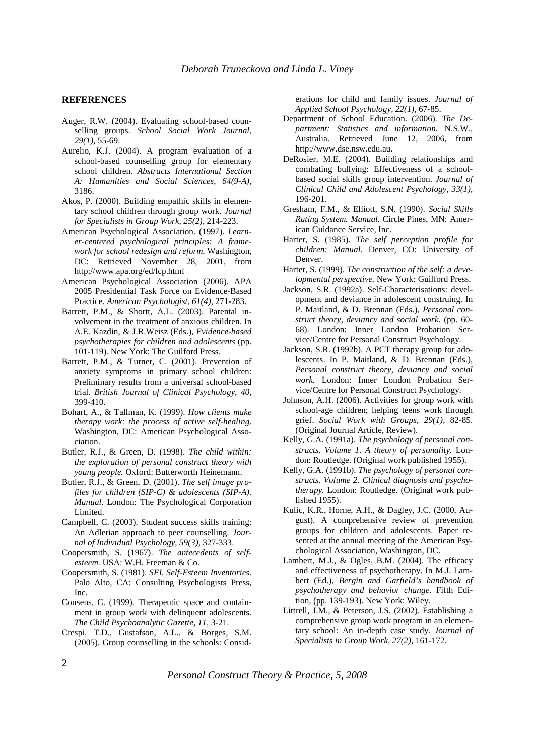#### **REFERENCES**

- Auger, R.W. (2004). Evaluating school-based counselling groups. *School Social Work Journal, 29(1),* 55-69.
- Aurelio, K.J. (2004). A program evaluation of a school-based counselling group for elementary school children. *Abstracts International Section A: Humanities and Social Sciences, 64(9-A),*  3186.
- Akos, P. (2000). Building empathic skills in elementary school children through group work. *Journal for Specialists in Group Work, 25(2),* 214-223.
- American Psychological Association. (1997). *Learner-centered psychological principles: A framework for school redesign and reform.* Washington, DC: Retrieved November 28, 2001, from http://www.apa.org/ed/lcp.html
- American Psychological Association (2006). APA 2005 Presidential Task Force on Evidence-Based Practice. *American Psychologist, 61(4),* 271-283.
- Barrett, P.M., & Shortt, A.L. (2003). Parental involvement in the treatment of anxious children. In A.E. Kazdin, & J.R.Weisz (Eds.), *Evidence-based psychotherapies for children and adolescents* (pp. 101-119). New York: The Guilford Press.
- Barrett, P.M., & Turner, C. (2001). Prevention of anxiety symptoms in primary school children: Preliminary results from a universal school-based trial. *British Journal of Clinical Psychology, 40,*  399-410.
- Bohart, A., & Tallman, K. (1999). *How clients make therapy work: the process of active self-healing.* Washington, DC: American Psychological Association.
- Butler, R.J., & Green, D. (1998). *The child within: the exploration of personal construct theory with young people.* Oxford: Butterworth Heinemann.
- Butler, R.J., & Green, D. (2001). *The self image profiles for children (SIP-C) & adolescents (SIP-A). Manual.* London: The Psychological Corporation Limited.
- Campbell, C. (2003). Student success skills training: An Adlerian approach to peer counselling. *Journal of Individual Psychology, 59(3),* 327-333.
- Coopersmith, S. (1967). *The antecedents of selfesteem.* USA: W.H. Freeman & Co.
- Coopersmith, S. (1981). *SEI. Self-Esteem Inventories.* Palo Alto, CA: Consulting Psychologists Press, Inc.
- Cousens, C. (1999). Therapeutic space and containment in group work with delinquent adolescents. *The Child Psychoanalytic Gazette, 11,* 3-21.
- Crespi, T.D., Gustafson, A.L., & Borges, S.M. (2005). Group counselling in the schools: Consid-

erations for child and family issues. *Journal of Applied School Psychology, 22(1),* 67-85.

- Department of School Education. (2006). *The Department: Statistics and information.* N.S.W., Australia. Retrieved June 12, 2006, from http://www.dse.nsw.edu.au.
- DeRosier, M.E. (2004). Building relationships and combating bullying: Effectiveness of a schoolbased social skills group intervention. *Journal of Clinical Child and Adolescent Psychology, 33(1),*  196-201.
- Gresham, F.M., & Elliott, S.N. (1990). *Social Skills Rating System. Manual.* Circle Pines, MN: American Guidance Service, Inc.
- Harter, S. (1985). *The self perception profile for children: Manual.* Denver, CO: University of Denver.
- Harter, S. (1999). *The construction of the self: a developmental perspective.* New York: Guilford Press.
- Jackson, S.R. (1992a). Self-Characterisations: development and deviance in adolescent construing. In P. Maitland, & D. Brennan (Eds.), *Personal construct theory, deviancy and social work*. (pp. 60- 68). London: Inner London Probation Service/Centre for Personal Construct Psychology.
- Jackson, S.R. (1992b). A PCT therapy group for adolescents. In P. Maitland, & D. Brennan (Eds.), *Personal construct theory, deviancy and social work.* London: Inner London Probation Service/Centre for Personal Construct Psychology.
- Johnson, A.H. (2006). Activities for group work with school-age children; helping teens work through grief. *Social Work with Groups, 29(1),* 82-85. (Original Journal Article, Review).
- Kelly, G.A. (1991a). *The psychology of personal constructs. Volume 1. A theory of personality.* London: Routledge. (Original work published 1955).
- Kelly, G.A. (1991b). *The psychology of personal constructs. Volume 2. Clinical diagnosis and psychotherapy.* London: Routledge. (Original work published 1955).
- Kulic*,* K.R., Horne, A.H., & Dagley, J.C. (2000, August). A comprehensive review of prevention groups for children and adolescents. Paper resented at the annual meeting of the American Psychological Association, Washington, DC.
- Lambert, M.J., & Ogles, B.M. (2004). The efficacy and effectiveness of psychotherapy. In M.J. Lambert (Ed.), *Bergin and Garfield's handbook of psychotherapy and behavior change.* Fifth Edition, (pp. 139-193). New York: Wiley.
- Littrell, J.M., & Peterson, J.S. (2002). Establishing a comprehensive group work program in an elementary school: An in-depth case study. *Journal of Specialists in Group Work, 27(2),* 161-172.

*Personal Construct Theory & Practice, 5, 2008*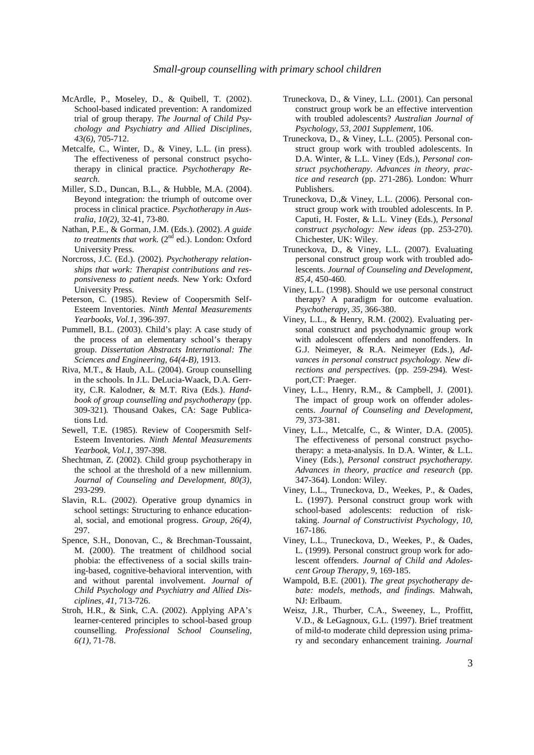- McArdle, P., Moseley, D., & Quibell, T. (2002). School-based indicated prevention: A randomized trial of group therapy. *The Journal of Child Psychology and Psychiatry and Allied Disciplines, 43(6),* 705-712.
- Metcalfe, C., Winter, D., & Viney, L.L. (in press). The effectiveness of personal construct psychotherapy in clinical practice. *Psychotherapy Research.*
- Miller, S.D., Duncan, B.L., & Hubble, M.A. (2004). Beyond integration: the triumph of outcome over process in clinical practice. *Psychotherapy in Australia, 10(2),* 32-41, 73-80.
- Nathan, P.E., & Gorman, J.M. (Eds.). (2002). *A guide to treatments that work.* (2<sup>nd</sup> ed.). London: Oxford University Press.
- Norcross, J.C. (Ed.). (2002). *Psychotherapy relationships that work: Therapist contributions and responsiveness to patient needs.* New York: Oxford University Press.
- Peterson, C. (1985). Review of Coopersmith Self-Esteem Inventories. *Ninth Mental Measurements Yearbooks, Vol.1,* 396-397.
- Pummell, B.L. (2003). Child's play: A case study of the process of an elementary school's therapy group. *Dissertation Abstracts International: The Sciences and Engineering, 64(4-B),* 1913.
- Riva, M.T., & Haub, A.L. (2004). Group counselling in the schools. In J.L. DeLucia-Waack, D.A. Gerrity, C.R. Kalodner, & M.T. Riva (Eds.). *Handbook of group counselling and psychotherapy* (pp. 309-321)*.* Thousand Oakes, CA: Sage Publications Ltd.
- Sewell, T.E. (1985). Review of Coopersmith Self-Esteem Inventories. *Ninth Mental Measurements Yearbook, Vol.1,* 397-398.
- Shechtman, Z. (2002). Child group psychotherapy in the school at the threshold of a new millennium. *Journal of Counseling and Development, 80(3),*  293-299.
- Slavin, R.L. (2002). Operative group dynamics in school settings: Structuring to enhance educational, social, and emotional progress. *Group, 26(4),*  297.
- Spence, S.H., Donovan, C., & Brechman-Toussaint, M. (2000). The treatment of childhood social phobia: the effectiveness of a social skills training-based, cognitive-behavioral intervention, with and without parental involvement. *Journal of Child Psychology and Psychiatry and Allied Disciplines, 41,* 713-726.
- Stroh, H.R., & Sink, C.A. (2002). Applying APA's learner-centered principles to school-based group counselling. *Professional School Counseling, 6(1),* 71-78.
- Truneckova, D., & Viney, L.L. (2001). Can personal construct group work be an effective intervention with troubled adolescents? *Australian Journal of Psychology, 53, 2001 Supplement,* 106.
- Truneckova, D., & Viney, L.L. (2005). Personal construct group work with troubled adolescents. In D.A. Winter, & L.L. Viney (Eds.), *Personal construct psychotherapy. Advances in theory, practice and research* (pp. 271-286)*.* London: Whurr Publishers.
- Truneckova, D.,& Viney, L.L. (2006). Personal construct group work with troubled adolescents. In P. Caputi, H. Foster, & L.L. Viney (Eds.), *Personal construct psychology: New ideas* (pp. 253-270)*.* Chichester, UK: Wiley.
- Truneckova, D., & Viney, L.L. (2007). Evaluating personal construct group work with troubled adolescents. *Journal of Counseling and Development, 85,4,* 450-460*.*
- Viney, L.L. (1998). Should we use personal construct therapy? A paradigm for outcome evaluation. *Psychotherapy, 35,* 366-380.
- Viney, L.L., & Henry, R.M. (2002). Evaluating personal construct and psychodynamic group work with adolescent offenders and nonoffenders. In G.J. Neimeyer, & R.A. Neimeyer (Eds.), *Advances in personal construct psychology. New directions and perspectives.* (pp. 259-294)*.* Westport,CT: Praeger.
- Viney, L.L., Henry, R.M., & Campbell, J. (2001). The impact of group work on offender adolescents. *Journal of Counseling and Development, 79,* 373-381.
- Viney, L.L., Metcalfe, C., & Winter, D.A. (2005). The effectiveness of personal construct psychotherapy: a meta-analysis. In D.A. Winter, & L.L. Viney (Eds.), *Personal construct psychotherapy. Advances in theory, practice and research* (pp. 347-364)*.* London: Wiley.
- Viney, L.L., Truneckova, D., Weekes, P., & Oades, L. (1997). Personal construct group work with school-based adolescents: reduction of risktaking. *Journal of Constructivist Psychology, 10,*  167-186.
- Viney, L.L., Truneckova, D., Weekes, P., & Oades, L. (1999). Personal construct group work for adolescent offenders. *Journal of Child and Adolescent Group Therapy, 9,* 169-185.
- Wampold, B.E. (2001). *The great psychotherapy debate: models, methods, and findings.* Mahwah, NJ: Erlbaum.
- Weisz, J.R., Thurber, C.A., Sweeney, L., Proffitt, V.D., & LeGagnoux, G.L. (1997). Brief treatment of mild-to moderate child depression using primary and secondary enhancement training. *Journal*